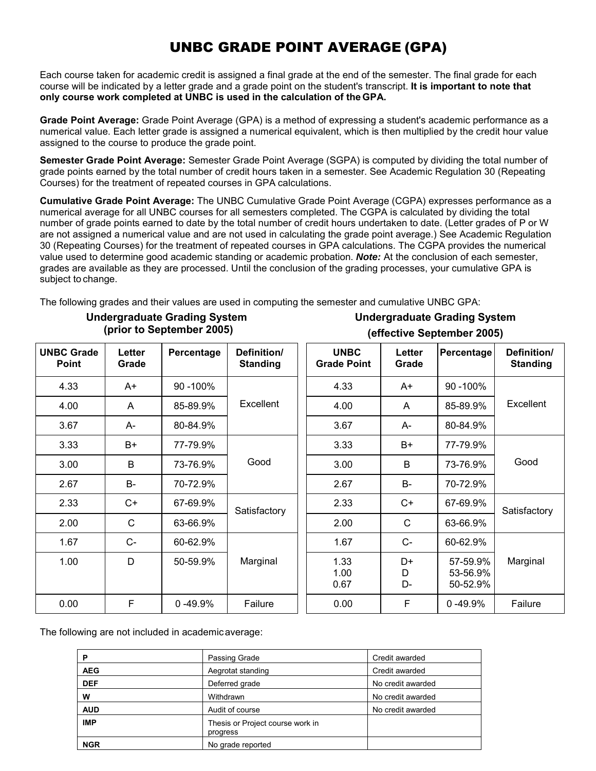## UNBC GRADE POINT AVERAGE (GPA)

Each course taken for academic credit is assigned a final grade at the end of the semester. The final grade for each course will be indicated by a letter grade and a grade point on the student's transcript. **It is important to note that only course work completed at UNBC is used in the calculation of the GPA.**

**Grade Point Average:** Grade Point Average (GPA) is a method of expressing a student's academic performance as a numerical value. Each letter grade is assigned a numerical equivalent, which is then multiplied by the credit hour value assigned to the course to produce the grade point.

**Semester Grade Point Average:** Semester Grade Point Average (SGPA) is computed by dividing the total number of grade points earned by the total number of credit hours taken in a semester. See Academic Regulation 30 (Repeating Courses) for the treatment of repeated courses in GPA calculations.

**Cumulative Grade Point Average:** The UNBC Cumulative Grade Point Average (CGPA) expresses performance as a numerical average for all UNBC courses for all semesters completed. The CGPA is calculated by dividing the total number of grade points earned to date by the total number of credit hours undertaken to date. (Letter grades of P or W are not assigned a numerical value and are not used in calculating the grade point average.) See Academic Regulation 30 (Repeating Courses) for the treatment of repeated courses in GPA calculations. The CGPA provides the numerical value used to determine good academic standing or academic probation. *Note:* At the conclusion of each semester, grades are available as they are processed. Until the conclusion of the grading processes, your cumulative GPA is subject to change.

The following grades and their values are used in computing the semester and cumulative UNBC GPA:

|                                   |                        |             |                                | <b>ICIICATIVE OCNICIIINEI TANAI</b> |                 |                                  |                                |
|-----------------------------------|------------------------|-------------|--------------------------------|-------------------------------------|-----------------|----------------------------------|--------------------------------|
| <b>UNBC Grade</b><br><b>Point</b> | <b>Letter</b><br>Grade | Percentage  | Definition/<br><b>Standing</b> | <b>UNBC</b><br><b>Grade Point</b>   | Letter<br>Grade | Percentage                       | Definition/<br><b>Standing</b> |
| 4.33                              | A+                     | 90 - 100%   |                                | 4.33                                | A+              | 90 - 100%                        |                                |
| 4.00                              | A                      | 85-89.9%    | Excellent                      | 4.00                                | A               | 85-89.9%                         | Excellent                      |
| 3.67                              | A-                     | 80-84.9%    |                                | 3.67                                | A-              | 80-84.9%                         |                                |
| 3.33                              | $B+$                   | 77-79.9%    |                                | 3.33                                | B+              | 77-79.9%                         |                                |
| 3.00                              | B                      | 73-76.9%    | Good                           | 3.00                                | B               | 73-76.9%                         | Good                           |
| 2.67                              | $B-$                   | 70-72.9%    |                                | 2.67                                | <b>B-</b>       | 70-72.9%                         |                                |
| 2.33                              | $C+$                   | 67-69.9%    | Satisfactory                   | 2.33                                | $C+$            | 67-69.9%                         | Satisfactory                   |
| 2.00                              | $\mathsf C$            | 63-66.9%    |                                | 2.00                                | $\mathsf{C}$    | 63-66.9%                         |                                |
| 1.67                              | $C-$                   | 60-62.9%    |                                | 1.67                                | $C-$            | 60-62.9%                         |                                |
| 1.00                              | D                      | 50-59.9%    | Marginal                       | 1.33<br>1.00<br>0.67                | D+<br>D<br>D-   | 57-59.9%<br>53-56.9%<br>50-52.9% | Marginal                       |
| 0.00                              | F                      | $0 - 49.9%$ | Failure                        | 0.00                                | F               | $0 - 49.9%$                      | Failure                        |

### **Undergraduate Grading System (prior to September 2005)**

**Undergraduate Grading System (effective September 2005)**

The following are not included in academicaverage:

| P          | Passing Grade                                | Credit awarded    |
|------------|----------------------------------------------|-------------------|
| <b>AEG</b> | Aegrotat standing                            | Credit awarded    |
| <b>DEF</b> | Deferred grade                               | No credit awarded |
| w          | Withdrawn                                    | No credit awarded |
| <b>AUD</b> | Audit of course                              | No credit awarded |
| <b>IMP</b> | Thesis or Project course work in<br>progress |                   |
| <b>NGR</b> | No grade reported                            |                   |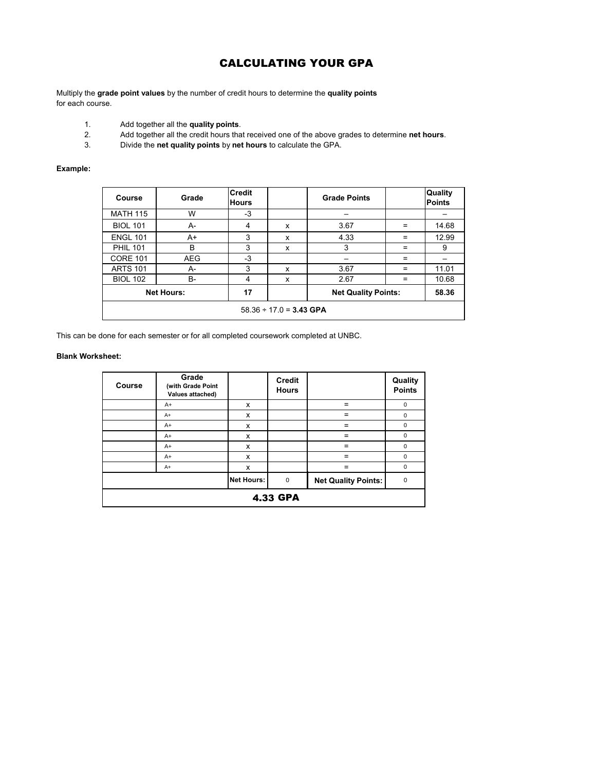# CALCULATING YOUR GPA

Multiply the **grade point values** by the number of credit hours to determine the **quality points** for each course.

- 1. Add together all the **quality points**.
- 2. Add together all the credit hours that received one of the above grades to determine **net hours**.<br>3. Divide the **net quality points** by **net hours** to calculate the GPA.
- 3. Divide the **net quality points** by **net hours** to calculate the GPA.

### **Example:**

| <b>Course</b>                | Grade      | <b>Credit</b><br><b>Hours</b> |   | <b>Grade Points</b>        |     | Quality<br><b>Points</b> |
|------------------------------|------------|-------------------------------|---|----------------------------|-----|--------------------------|
| <b>MATH 115</b>              | W          | $-3$                          |   |                            |     |                          |
| <b>BIOL 101</b>              | A-         | 4                             | X | 3.67                       | $=$ | 14.68                    |
| <b>ENGL 101</b>              | A+         | 3                             | X | 4.33                       | $=$ | 12.99                    |
| <b>PHIL 101</b>              | B          | 3                             | X | 3                          | $=$ | 9                        |
| <b>CORE 101</b>              | <b>AEG</b> | $-3$                          |   |                            | $=$ |                          |
| <b>ARTS 101</b>              | A-         | 3                             | X | 3.67                       | $=$ | 11.01                    |
| <b>BIOL 102</b>              | B-         | 4                             | X | 2.67                       | $=$ | 10.68                    |
| <b>Net Hours:</b>            |            | 17                            |   | <b>Net Quality Points:</b> |     | 58.36                    |
| $58.36 \div 17.0 = 3.43$ GPA |            |                               |   |                            |     |                          |

This can be done for each semester or for all completed coursework completed at UNBC.

### **Blank Worksheet:**

| <b>Course</b>   | Grade<br>(with Grade Point<br>Values attached) |                   | <b>Credit</b><br><b>Hours</b> |                            | Quality<br><b>Points</b> |  |
|-----------------|------------------------------------------------|-------------------|-------------------------------|----------------------------|--------------------------|--|
|                 | $A+$                                           | X                 |                               | $=$                        | 0                        |  |
|                 | $A+$                                           | X                 |                               | $=$                        | 0                        |  |
|                 | $A+$                                           | X                 |                               | $=$                        | $\mathbf 0$              |  |
|                 | $A+$                                           | X                 |                               | $\equiv$                   | $\mathbf 0$              |  |
|                 | $A+$                                           | X                 |                               | $=$                        | 0                        |  |
|                 | $A+$                                           | X                 |                               | $=$                        | 0                        |  |
|                 | $A+$                                           | X                 |                               | $=$                        | $\mathbf 0$              |  |
|                 |                                                | <b>Net Hours:</b> | $\mathbf 0$                   | <b>Net Quality Points:</b> | $\mathbf 0$              |  |
| <b>4.33 GPA</b> |                                                |                   |                               |                            |                          |  |